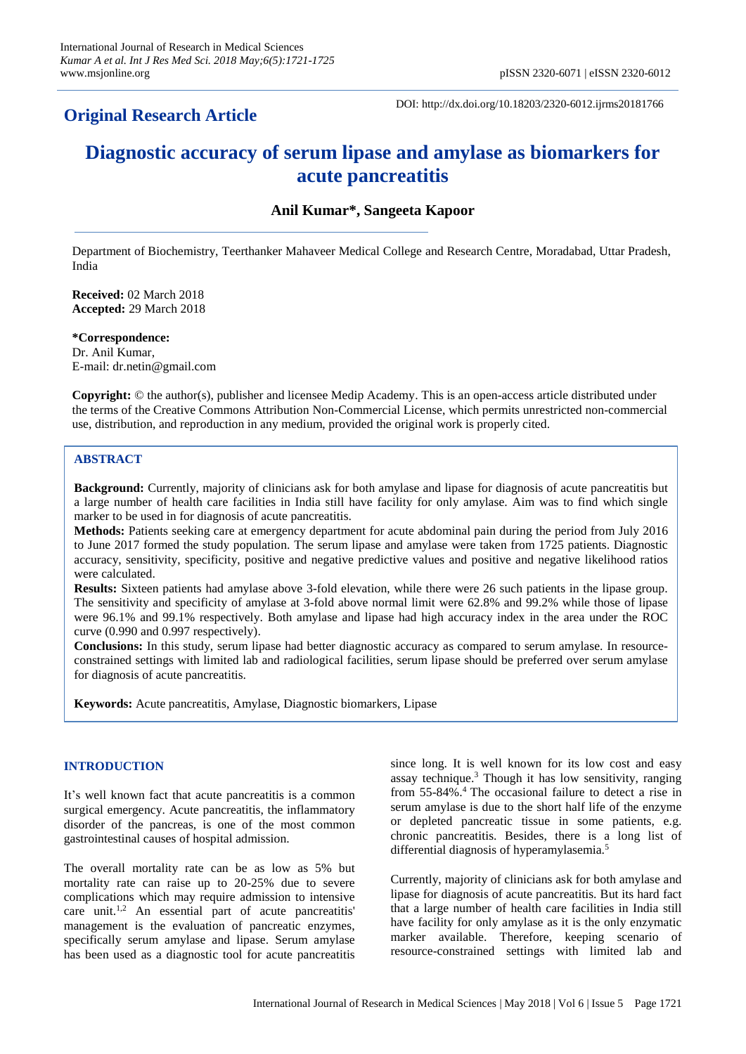## **Original Research Article**

DOI: http://dx.doi.org/10.18203/2320-6012.ijrms20181766

# **Diagnostic accuracy of serum lipase and amylase as biomarkers for acute pancreatitis**

### **Anil Kumar\*, Sangeeta Kapoor**

Department of Biochemistry, Teerthanker Mahaveer Medical College and Research Centre, Moradabad, Uttar Pradesh, India

**Received:** 02 March 2018 **Accepted:** 29 March 2018

**\*Correspondence:** Dr. Anil Kumar, E-mail: dr.netin@gmail.com

**Copyright:** © the author(s), publisher and licensee Medip Academy. This is an open-access article distributed under the terms of the Creative Commons Attribution Non-Commercial License, which permits unrestricted non-commercial use, distribution, and reproduction in any medium, provided the original work is properly cited.

#### **ABSTRACT**

**Background:** Currently, majority of clinicians ask for both amylase and lipase for diagnosis of acute pancreatitis but a large number of health care facilities in India still have facility for only amylase. Aim was to find which single marker to be used in for diagnosis of acute pancreatitis.

**Methods:** Patients seeking care at emergency department for acute abdominal pain during the period from July 2016 to June 2017 formed the study population. The serum lipase and amylase were taken from 1725 patients. Diagnostic accuracy, sensitivity, specificity, positive and negative predictive values and positive and negative likelihood ratios were calculated.

**Results:** Sixteen patients had amylase above 3-fold elevation, while there were 26 such patients in the lipase group. The sensitivity and specificity of amylase at 3-fold above normal limit were 62.8% and 99.2% while those of lipase were 96.1% and 99.1% respectively. Both amylase and lipase had high accuracy index in the area under the ROC curve (0.990 and 0.997 respectively).

**Conclusions:** In this study, serum lipase had better diagnostic accuracy as compared to serum amylase. In resourceconstrained settings with limited lab and radiological facilities, serum lipase should be preferred over serum amylase for diagnosis of acute pancreatitis.

**Keywords:** Acute pancreatitis, Amylase, Diagnostic biomarkers, Lipase

#### **INTRODUCTION**

It's well known fact that acute pancreatitis is a common surgical emergency. Acute pancreatitis, the inflammatory disorder of the pancreas, is one of the most common gastrointestinal causes of hospital admission.

The overall mortality rate can be as low as 5% but mortality rate can raise up to 20-25% due to severe complications which may require admission to intensive care unit.1,2 An essential part of acute pancreatitis' management is the evaluation of pancreatic enzymes, specifically serum amylase and lipase. Serum amylase has been used as a diagnostic tool for acute pancreatitis since long. It is well known for its low cost and easy assay technique.<sup>3</sup> Though it has low sensitivity, ranging from 55-84%.<sup>4</sup> The occasional failure to detect a rise in serum amylase is due to the short half life of the enzyme or depleted pancreatic tissue in some patients, e.g. chronic pancreatitis. Besides, there is a long list of differential diagnosis of hyperamylasemia.<sup>5</sup>

Currently, majority of clinicians ask for both amylase and lipase for diagnosis of acute pancreatitis. But its hard fact that a large number of health care facilities in India still have facility for only amylase as it is the only enzymatic marker available. Therefore, keeping scenario of resource-constrained settings with limited lab and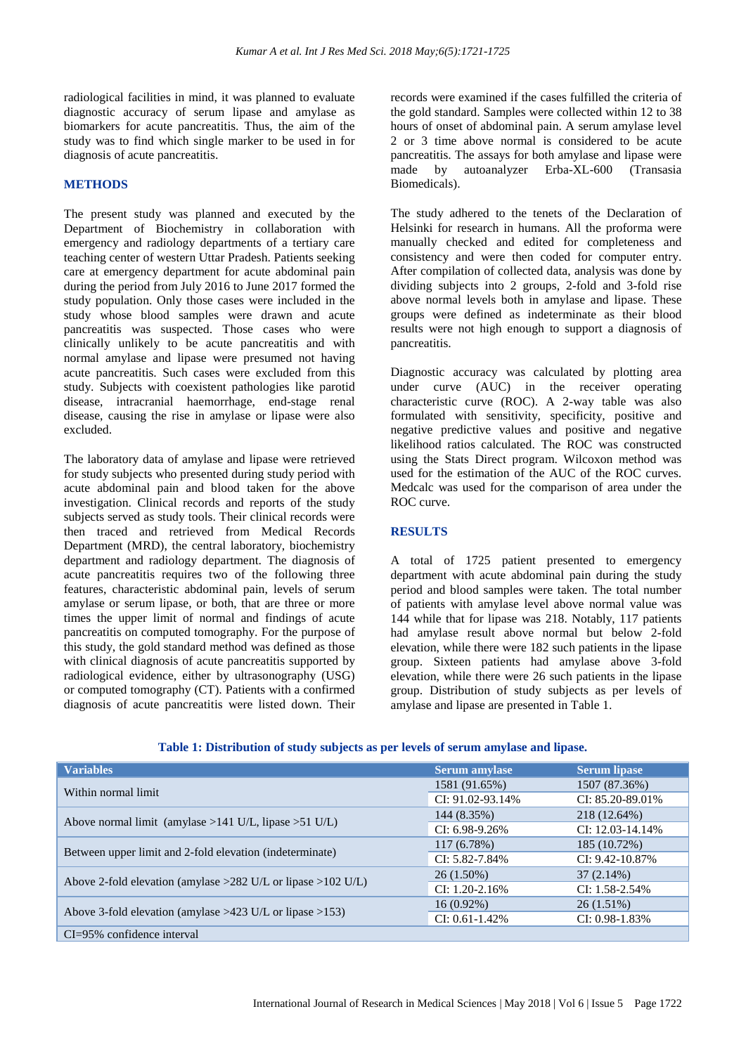radiological facilities in mind, it was planned to evaluate diagnostic accuracy of serum lipase and amylase as biomarkers for acute pancreatitis. Thus, the aim of the study was to find which single marker to be used in for diagnosis of acute pancreatitis.

#### **METHODS**

The present study was planned and executed by the Department of Biochemistry in collaboration with emergency and radiology departments of a tertiary care teaching center of western Uttar Pradesh. Patients seeking care at emergency department for acute abdominal pain during the period from July 2016 to June 2017 formed the study population. Only those cases were included in the study whose blood samples were drawn and acute pancreatitis was suspected. Those cases who were clinically unlikely to be acute pancreatitis and with normal amylase and lipase were presumed not having acute pancreatitis. Such cases were excluded from this study. Subjects with coexistent pathologies like parotid disease, intracranial haemorrhage, end-stage renal disease, causing the rise in amylase or lipase were also excluded.

The laboratory data of amylase and lipase were retrieved for study subjects who presented during study period with acute abdominal pain and blood taken for the above investigation. Clinical records and reports of the study subjects served as study tools. Their clinical records were then traced and retrieved from Medical Records Department (MRD), the central laboratory, biochemistry department and radiology department. The diagnosis of acute pancreatitis requires two of the following three features, characteristic abdominal pain, levels of serum amylase or serum lipase, or both, that are three or more times the upper limit of normal and findings of acute pancreatitis on computed tomography. For the purpose of this study, the gold standard method was defined as those with clinical diagnosis of acute pancreatitis supported by radiological evidence, either by ultrasonography (USG) or computed tomography (CT). Patients with a confirmed diagnosis of acute pancreatitis were listed down. Their records were examined if the cases fulfilled the criteria of the gold standard. Samples were collected within 12 to 38 hours of onset of abdominal pain. A serum amylase level 2 or 3 time above normal is considered to be acute pancreatitis. The assays for both amylase and lipase were made by autoanalyzer Erba-XL-600 (Transasia Biomedicals).

The study adhered to the tenets of the Declaration of Helsinki for research in humans. All the proforma were manually checked and edited for completeness and consistency and were then coded for computer entry. After compilation of collected data, analysis was done by dividing subjects into 2 groups, 2-fold and 3-fold rise above normal levels both in amylase and lipase. These groups were defined as indeterminate as their blood results were not high enough to support a diagnosis of pancreatitis.

Diagnostic accuracy was calculated by plotting area under curve (AUC) in the receiver operating characteristic curve (ROC). A 2-way table was also formulated with sensitivity, specificity, positive and negative predictive values and positive and negative likelihood ratios calculated. The ROC was constructed using the Stats Direct program. Wilcoxon method was used for the estimation of the AUC of the ROC curves. Medcalc was used for the comparison of area under the ROC curve.

#### **RESULTS**

A total of 1725 patient presented to emergency department with acute abdominal pain during the study period and blood samples were taken. The total number of patients with amylase level above normal value was 144 while that for lipase was 218. Notably, 117 patients had amylase result above normal but below 2-fold elevation, while there were 182 such patients in the lipase group. Sixteen patients had amylase above 3-fold elevation, while there were 26 such patients in the lipase group. Distribution of study subjects as per levels of amylase and lipase are presented in Table 1.

| <b>Variables</b>                                                 | <b>Serum amylase</b> | <b>Serum lipase</b>   |
|------------------------------------------------------------------|----------------------|-----------------------|
| Within normal limit                                              | 1581 (91.65%)        | 1507 (87.36%)         |
|                                                                  | CI: 91.02-93.14%     | $CI: 85.20 - 89.01\%$ |
| Above normal limit (amylase >141 U/L, lipase >51 U/L)            | 144 (8.35%)          | 218 (12.64%)          |
|                                                                  | $CI: 6.98 - 9.26\%$  | CI: 12.03-14.14%      |
| Between upper limit and 2-fold elevation (indeterminate)         | 117(6.78%)           | 185 (10.72%)          |
|                                                                  | $CI: 5.82 - 7.84\%$  | $CI: 9.42 - 10.87\%$  |
| Above 2-fold elevation (amylase $>282$ U/L or lipase $>102$ U/L) | $26(1.50\%)$         | $37(2.14\%)$          |
|                                                                  | $CI: 1.20 - 2.16\%$  | $CI: 1.58 - 2.54\%$   |
| Above 3-fold elevation (amylase $>423$ U/L or lipase $>153$ )    | $16(0.92\%)$         | $26(1.51\%)$          |
|                                                                  | $CI: 0.61 - 1.42\%$  | $CI: 0.98 - 1.83\%$   |
| $CI = 95\%$ confidence interval                                  |                      |                       |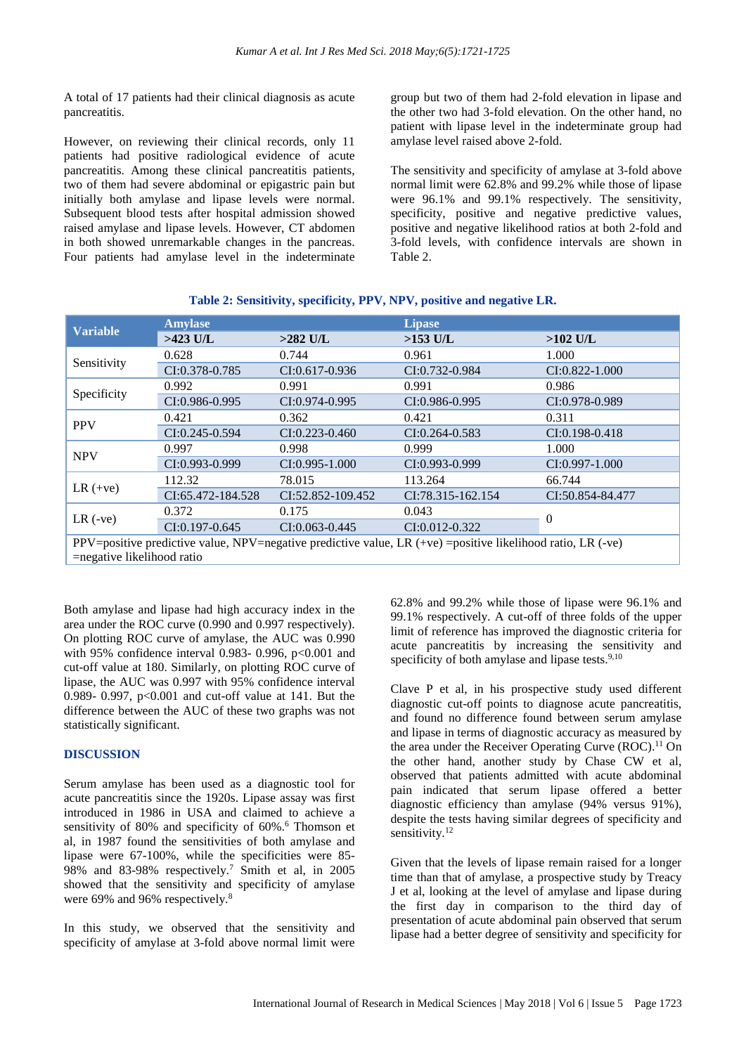A total of 17 patients had their clinical diagnosis as acute pancreatitis.

However, on reviewing their clinical records, only 11 patients had positive radiological evidence of acute pancreatitis. Among these clinical pancreatitis patients, two of them had severe abdominal or epigastric pain but initially both amylase and lipase levels were normal. Subsequent blood tests after hospital admission showed raised amylase and lipase levels. However, CT abdomen in both showed unremarkable changes in the pancreas. Four patients had amylase level in the indeterminate group but two of them had 2-fold elevation in lipase and the other two had 3-fold elevation. On the other hand, no patient with lipase level in the indeterminate group had amylase level raised above 2-fold.

The sensitivity and specificity of amylase at 3-fold above normal limit were 62.8% and 99.2% while those of lipase were 96.1% and 99.1% respectively. The sensitivity, specificity, positive and negative predictive values, positive and negative likelihood ratios at both 2-fold and 3-fold levels, with confidence intervals are shown in Table 2.

| <b>Variable</b>                                                                                                 | <b>Amylase</b>      |                     | <b>Lipase</b>       |                     |  |
|-----------------------------------------------------------------------------------------------------------------|---------------------|---------------------|---------------------|---------------------|--|
|                                                                                                                 | $>423$ U/L          | $>282$ U/L          | $>153$ U/L          | $>102$ U/L          |  |
| Sensitivity                                                                                                     | 0.628               | 0.744               | 0.961               | 1.000               |  |
|                                                                                                                 | CI:0.378-0.785      | $CI: 0.617 - 0.936$ | CI:0.732-0.984      | $CI: 0.822 - 1.000$ |  |
| Specificity                                                                                                     | 0.992               | 0.991               | 0.991               | 0.986               |  |
|                                                                                                                 | $CI: 0.986 - 0.995$ | $CI: 0.974 - 0.995$ | $CI: 0.986 - 0.995$ | $CI: 0.978 - 0.989$ |  |
| <b>PPV</b>                                                                                                      | 0.421               | 0.362               | 0.421               | 0.311               |  |
|                                                                                                                 | CI:0.245-0.594      | $CI: 0.223 - 0.460$ | $CI: 0.264 - 0.583$ | CI:0.198-0.418      |  |
| <b>NPV</b>                                                                                                      | 0.997               | 0.998               | 0.999               | 1.000               |  |
|                                                                                                                 | CI:0.993-0.999      | $CI: 0.995 - 1.000$ | $CI: 0.993 - 0.999$ | $CI: 0.997 - 1.000$ |  |
| $LR (+ve)$                                                                                                      | 112.32              | 78.015              | 113.264             | 66.744              |  |
|                                                                                                                 | CI:65.472-184.528   | CI:52.852-109.452   | CI:78.315-162.154   | CI:50.854-84.477    |  |
| $LR$ (-ve)                                                                                                      | 0.372               | 0.175               | 0.043               | $\overline{0}$      |  |
|                                                                                                                 | $CI: 0.197 - 0.645$ | $CI: 0.063 - 0.445$ | $CI: 0.012 - 0.322$ |                     |  |
| PPV=positive predictive value, NPV=negative predictive value, LR $(+ve)$ =positive likelihood ratio, LR $(-ve)$ |                     |                     |                     |                     |  |
| =negative likelihood ratio                                                                                      |                     |                     |                     |                     |  |

**Table 2: Sensitivity, specificity, PPV, NPV, positive and negative LR.**

Both amylase and lipase had high accuracy index in the area under the ROC curve (0.990 and 0.997 respectively). On plotting ROC curve of amylase, the AUC was 0.990 with 95% confidence interval 0.983- 0.996,  $p<0.001$  and cut-off value at 180. Similarly, on plotting ROC curve of lipase, the AUC was 0.997 with 95% confidence interval 0.989- 0.997, p<0.001 and cut-off value at 141. But the difference between the AUC of these two graphs was not statistically significant.

#### **DISCUSSION**

Serum amylase has been used as a diagnostic tool for acute pancreatitis since the 1920s. Lipase assay was first introduced in 1986 in USA and claimed to achieve a sensitivity of 80% and specificity of 60%.<sup>6</sup> Thomson et al, in 1987 found the sensitivities of both amylase and lipase were 67-100%, while the specificities were 85- 98% and 83-98% respectively.<sup>7</sup> Smith et al, in 2005 showed that the sensitivity and specificity of amylase were 69% and 96% respectively.<sup>8</sup>

In this study, we observed that the sensitivity and specificity of amylase at 3-fold above normal limit were 62.8% and 99.2% while those of lipase were 96.1% and 99.1% respectively. A cut-off of three folds of the upper limit of reference has improved the diagnostic criteria for acute pancreatitis by increasing the sensitivity and specificity of both amylase and lipase tests. $9,10$ 

Clave P et al, in his prospective study used different diagnostic cut-off points to diagnose acute pancreatitis, and found no difference found between serum amylase and lipase in terms of diagnostic accuracy as measured by the area under the Receiver Operating Curve (ROC).<sup>11</sup> On the other hand, another study by Chase CW et al, observed that patients admitted with acute abdominal pain indicated that serum lipase offered a better diagnostic efficiency than amylase (94% versus 91%), despite the tests having similar degrees of specificity and sensitivity.<sup>12</sup>

Given that the levels of lipase remain raised for a longer time than that of amylase, a prospective study by Treacy J et al, looking at the level of amylase and lipase during the first day in comparison to the third day of presentation of acute abdominal pain observed that serum lipase had a better degree of sensitivity and specificity for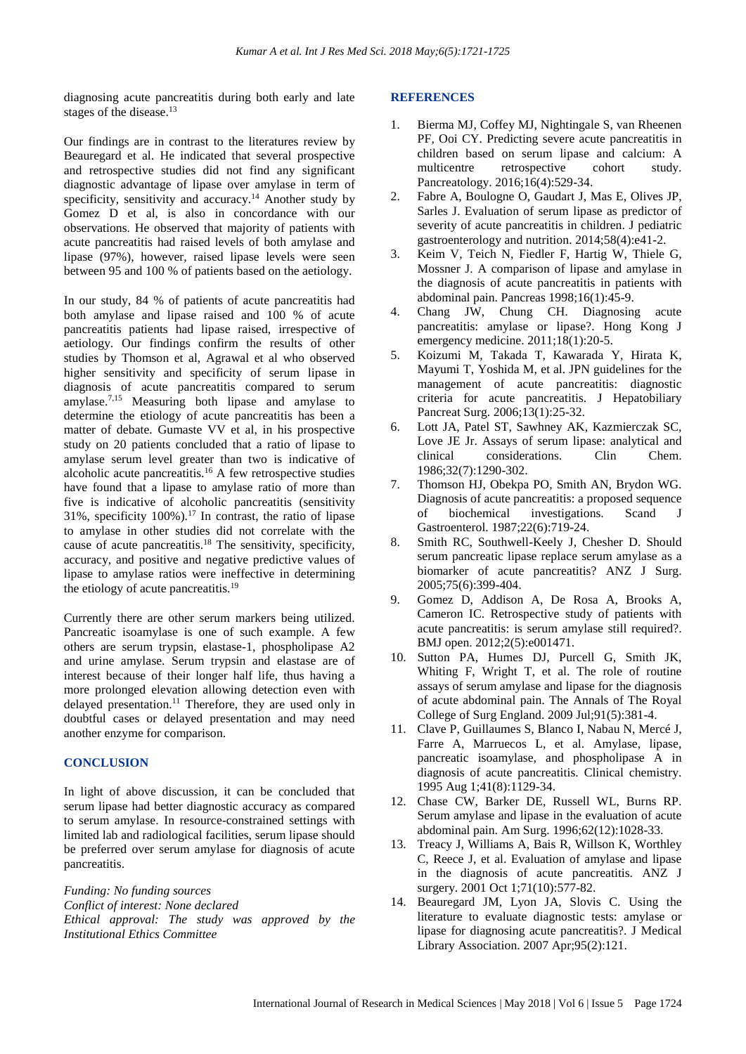diagnosing acute pancreatitis during both early and late stages of the disease.<sup>13</sup>

Our findings are in contrast to the literatures review by Beauregard et al. He indicated that several prospective and retrospective studies did not find any significant diagnostic advantage of lipase over amylase in term of specificity, sensitivity and accuracy.<sup>14</sup> Another study by Gomez D et al, is also in concordance with our observations. He observed that majority of patients with acute pancreatitis had raised levels of both amylase and lipase (97%), however, raised lipase levels were seen between 95 and 100 % of patients based on the aetiology.

In our study, 84 % of patients of acute pancreatitis had both amylase and lipase raised and 100 % of acute pancreatitis patients had lipase raised, irrespective of aetiology. Our findings confirm the results of other studies by Thomson et al, Agrawal et al who observed higher sensitivity and specificity of serum lipase in diagnosis of acute pancreatitis compared to serum amylase.7,15 Measuring both lipase and amylase to determine the etiology of acute pancreatitis has been a matter of debate. Gumaste VV et al, in his prospective study on 20 patients concluded that a ratio of lipase to amylase serum level greater than two is indicative of alcoholic acute pancreatitis.<sup>16</sup> A few retrospective studies have found that a lipase to amylase ratio of more than five is indicative of alcoholic pancreatitis (sensitivity 31%, specificity  $100\%$ ).<sup>17</sup> In contrast, the ratio of lipase to amylase in other studies did not correlate with the cause of acute pancreatitis.<sup>18</sup> The sensitivity, specificity, accuracy, and positive and negative predictive values of lipase to amylase ratios were ineffective in determining the etiology of acute pancreatitis.<sup>19</sup>

Currently there are other serum markers being utilized. Pancreatic isoamylase is one of such example. A few others are serum trypsin, elastase-1, phospholipase A2 and urine amylase. Serum trypsin and elastase are of interest because of their longer half life, thus having a more prolonged elevation allowing detection even with delayed presentation.<sup>11</sup> Therefore, they are used only in doubtful cases or delayed presentation and may need another enzyme for comparison.

#### **CONCLUSION**

In light of above discussion, it can be concluded that serum lipase had better diagnostic accuracy as compared to serum amylase. In resource-constrained settings with limited lab and radiological facilities, serum lipase should be preferred over serum amylase for diagnosis of acute pancreatitis.

*Funding: No funding sources Conflict of interest: None declared Ethical approval: The study was approved by the Institutional Ethics Committee*

#### **REFERENCES**

- 1. Bierma MJ, Coffey MJ, Nightingale S, van Rheenen PF, Ooi CY. Predicting severe acute pancreatitis in children based on serum lipase and calcium: A multicentre retrospective cohort study. Pancreatology. 2016;16(4):529-34.
- 2. Fabre A, Boulogne O, Gaudart J, Mas E, Olives JP, Sarles J. Evaluation of serum lipase as predictor of severity of acute pancreatitis in children. J pediatric gastroenterology and nutrition. 2014;58(4):e41-2.
- 3. Keim V, Teich N, Fiedler F, Hartig W, Thiele G, Mossner J. A comparison of lipase and amylase in the diagnosis of acute pancreatitis in patients with abdominal pain. Pancreas 1998;16(1):45-9.
- 4. Chang JW, Chung CH. Diagnosing acute pancreatitis: amylase or lipase?. Hong Kong J emergency medicine. 2011;18(1):20-5.
- 5. Koizumi M, Takada T, Kawarada Y, Hirata K, Mayumi T, Yoshida M, et al. JPN guidelines for the management of acute pancreatitis: diagnostic criteria for acute pancreatitis. J Hepatobiliary Pancreat Surg. 2006;13(1):25-32.
- 6. Lott JA, Patel ST, Sawhney AK, Kazmierczak SC, Love JE Jr. Assays of serum lipase: analytical and clinical considerations. Clin Chem. 1986;32(7):1290-302.
- 7. Thomson HJ, Obekpa PO, Smith AN, Brydon WG. Diagnosis of acute pancreatitis: a proposed sequence of biochemical investigations. Scand J Gastroenterol. 1987;22(6):719-24.
- 8. Smith RC, Southwell-Keely J, Chesher D. Should serum pancreatic lipase replace serum amylase as a biomarker of acute pancreatitis? ANZ J Surg. 2005;75(6):399-404.
- 9. Gomez D, Addison A, De Rosa A, Brooks A, Cameron IC. Retrospective study of patients with acute pancreatitis: is serum amylase still required?. BMJ open. 2012;2(5):e001471.
- 10. Sutton PA, Humes DJ, Purcell G, Smith JK, Whiting F, Wright T, et al. The role of routine assays of serum amylase and lipase for the diagnosis of acute abdominal pain. The Annals of The Royal College of Surg England. 2009 Jul;91(5):381-4.
- 11. Clave P, Guillaumes S, Blanco I, Nabau N, Mercé J, Farre A, Marruecos L, et al. Amylase, lipase, pancreatic isoamylase, and phospholipase A in diagnosis of acute pancreatitis. Clinical chemistry. 1995 Aug 1;41(8):1129-34.
- 12. Chase CW, Barker DE, Russell WL, Burns RP. Serum amylase and lipase in the evaluation of acute abdominal pain. Am Surg. 1996;62(12):1028-33.
- 13. Treacy J, Williams A, Bais R, Willson K, Worthley C, Reece J, et al. Evaluation of amylase and lipase in the diagnosis of acute pancreatitis. ANZ J surgery. 2001 Oct 1;71(10):577-82.
- 14. Beauregard JM, Lyon JA, Slovis C. Using the literature to evaluate diagnostic tests: amylase or lipase for diagnosing acute pancreatitis?. J Medical Library Association. 2007 Apr;95(2):121.